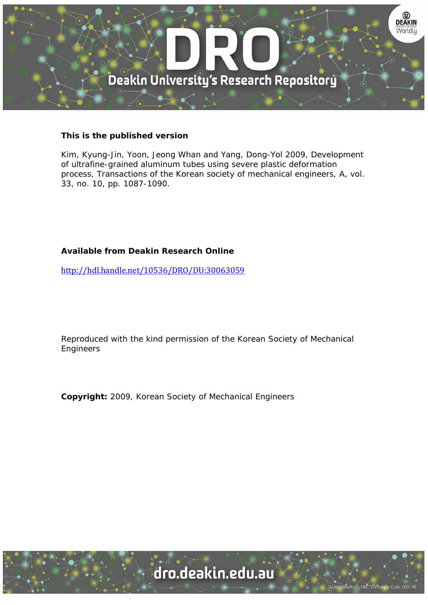

# **This is the published version**

Kim, Kyung-Jin, Yoon, Jeong Whan and Yang, Dong-Yol 2009, Development of ultrafine-grained aluminum tubes using severe plastic deformation process, Transactions of the Korean society of mechanical engineers, A, vol. 33, no. 10, pp. 1087-1090.

# **Available from Deakin Research Online**

http://hdl.handle.net/10536/DRO/DU:30063059

Reproduced with the kind permission of the Korean Society of Mechanical Engineers

**Copyright:** 2009, Korean Society of Mechanical Engineers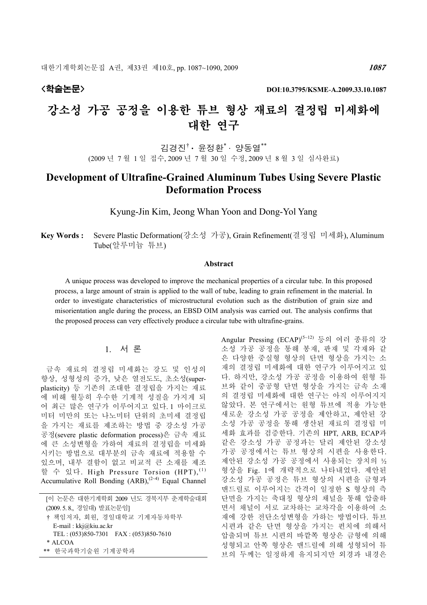# 강소성 가공 공정을 이용한 튜브 형상 재료의 결정립 미세화에 대한 연구

김경진† · 윤정환\* · 양동열\*\* (2009 년 7 월 1 일 접수, 2009 년 7 월 30 일 수정, 2009 년 8 월 3 일 심사완료)

# Development of Ultrafine-Grained Aluminum Tubes Using Severe Plastic Deformation Process

Kyung-Jin Kim, Jeong Whan Yoon and Dong-Yol Yang

Key Words : Severe Plastic Deformation(강소성 가공), Grain Refinement(결정립 미세화), Aluminum Tube(알루미늄 튜브)

## Abstract

A unique process was developed to improve the mechanical properties of a circular tube. In this proposed process, a large amount of strain is applied to the wall of tube, leading to grain refinement in the material. In order to investigate characteristics of microstructural evolution such as the distribution of grain size and misorientation angle during the process, an EBSD OIM analysis was carried out. The analysis confirms that the proposed process can very effectively produce a circular tube with ultrafine-grains.

# 1. 서 론

금속 재료의 결정립 미세화는 강도 및 인성의 향상, 성형성의 증가, 낮은 열전도도, 초소성(superplasticity) 등 기존의 조대한 결정립을 가지는 재료 에 비해 월등히 우수한 기계적 성질을 가지게 되 어 최근 많은 연구가 이루어지고 있다. 1 마이크로 미터 미만의 또는 나노미터 단위의 초미세 결정립 을 가지는 재료를 제조하는 방법 중 강소성 가공 공정(severe plastic deformation process)은 금속 재료 에 큰 소성변형을 가하여 재료의 결정립을 미세화 시키는 방법으로 대부분의 금속 재료에 적용할 수 있으며, 내부 결함이 없고 비교적 큰 소재를 제조 할 수 있다. High Pressure Torsion (HPT),  $^{(1)}$ Accumulative Roll Bonding  $(ARB)$ ,  $(2-4)$  Equal Channel

[이 논문은 대한기계학회 2009 년도 경북지부 춘계학술대회 (2009. 5. 8., 경일대) 발표논문임] † 책임저자, 회원, 경일대학교 기계자동차학부 E-mail : kkj@kiu.ac.kr TEL : (053)850-7301 FAX : (053)850-7610 \* ALCOA \*\* 한국과학기술원 기계공학과

Angular Pressing (ECAP) (5~12) 등의 여러 종류의 강 소성 가공 공정을 통해 봉재, 판재 및 각재와 같 은 다양한 중실형 형상의 단면 형상을 가지는 소 재의 결정립 미세화에 대한 연구가 이루어지고 있 다. 하지만, 강소성 가공 공정을 이용하여 원형 튜 브와 같이 중공형 단면 형상을 가지는 금속 소재 의 결정립 미세화에 대한 연구는 아직 이루어지지 않았다. 본 연구에서는 원형 튜브에 적용 가능한 새로운 강소성 가공 공정을 제안하고, 제안된 강 소성 가공 공정을 통해 생산된 재료의 결정립 미 세화 효과를 검증한다. 기존의 HPT, ARB, ECAP과 같은 강소성 가공 공정과는 달리 제안된 강소성 가공 공정에서는 튜브 형상의 시편을 사용한다. 제안된 강소성 가공 공정에서 사용되는 장치의 ½ 형상을 Fig. 1에 개략적으로 나타내었다. 제안된 강소성 가공 공정은 튜브 형상의 시편을 금형과 맨드럴로 이루어지는 간격이 일정한 S 형상의 측 단면을 가지는 축대칭 형상의 채널을 통해 압출하 면서 채널이 서로 교차하는 교차각을 이용하여 소 재에 강한 전단소성변형을 가하는 방법이다. 튜브 시편과 같은 단면 형상을 가지는 펀치에 의해서 압출되며 튜브 시편의 바깥쪽 형상은 금형에 의해 성형되고 안쪽 형상은 맨드럴에 의해 성형되어 튜 브의 두께는 일정하게 유지되지만 외경과 내경은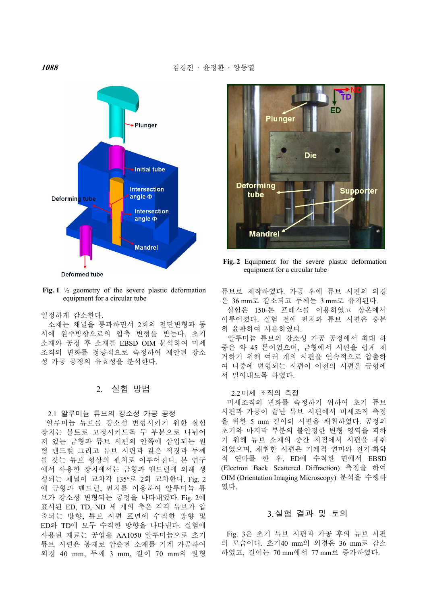

Fig. 1  $\frac{1}{2}$  geometry of the severe plastic deformation equipment for a circular tube

#### 일정하게 감소한다.

소재는 채널을 통과하면서 2회의 전단변형과 동 시에 원주방향으로의 압축 변형을 받는다. 초기 소재와 공정 후 소재를 EBSD OIM 분석하여 미세 조직의 변화를 정량적으로 측정하여 제안된 강소 성 가공 공정의 유효성을 분석한다.

# 2. 실험 방법

#### 2.1 알루미늄 튜브의 강소성 가공 공정

알루미늄 튜브를 강소성 변형시키기 위한 실험 장치는 볼트로 고정시키도록 두 부분으로 나뉘어 져 있는 금형과 튜브 시편의 안쪽에 삽입되는 원 형 맨드럴 그리고 튜브 시편과 같은 직경과 두께 를 갖는 튜브 형상의 펀치로 이루어진다. 본 연구 에서 사용한 장치에서는 금형과 맨드럴에 의해 생 성되는 채널이 교차각 135°로 2회 교차한다. Fig. 2 에 금형과 맨드럴, 펀치를 이용하여 알루미늄 튜 브가 강소성 변형되는 공정을 나타내었다. Fig. 2에 표시된 ED, TD, ND 세 개의 축은 각각 튜브가 압 출되는 방향, 튜브 시편 표면에 수직한 방향 및 ED와 TD에 모두 수직한 방향을 나타낸다. 실험에 사용된 재료는 공업용 AA1050 알루미늄으로 초기 튜브 시편은 봉재로 압출된 소재를 기계 가공하여 외경 40 mm, 두께 3 mm, 길이 70 mm의 원형



Fig. 2 Equipment for the severe plastic deformation equipment for a circular tube

튜브로 제작하였다. 가공 후에 튜브 시편의 외경 은 36 mm로 감소되고 두께는 3 mm로 유지된다.

실험은 150-톤 프레스를 이용하였고 상온에서 이루어졌다. 실험 전에 펀치와 튜브 시편은 충분 히 윤활하여 사용하였다.

알루미늄 튜브의 강소성 가공 공정에서 최대 하 중은 약 45 톤이었으며, 금형에서 시편을 쉽게 제 거하기 위해 여러 개의 시편을 연속적으로 압출하 여 나중에 변형되는 시편이 이전의 시편을 금형에 서 밀어내도록 하였다.

#### 2.2 미세 조직의 측정

미세조직의 변화를 측정하기 위하여 초기 튜브 시편과 가공이 끝난 튜브 시편에서 미세조직 측정 을 위한 5 mm 길이의 시편을 채취하였다. 공정의 초기와 마지막 부분의 불안정한 변형 영역을 피하 기 위해 튜브 소재의 중간 지점에서 시편을 채취 하였으며, 채취한 시편은 기계적 연마와 전기⋅화학 적 연마를 한 후, ED에 수직한 면에서 EBSD (Electron Back Scattered Diffraction) 측정을 하여 OIM (Orientation Imaging Microscopy) 분석을 수행하 였다.

# 3.실험 결과 및 토의

Fig. 3은 초기 튜브 시편과 가공 후의 튜브 시편 의 모습이다. 초기40 mm의 외경은 36 mm로 감소 하였고, 길이는 70 mm에서 77 mm로 증가하였다.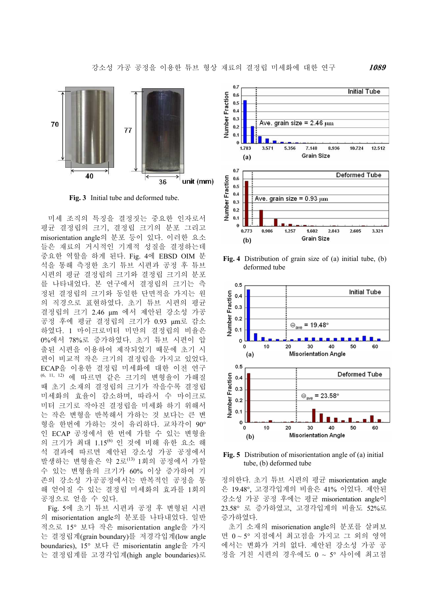

Fig. 3 Initial tube and deformed tube.

미세 조직의 특징을 결정짓는 중요한 인자로서 평균 결정립의 크기, 결정립 크기의 분포 그리고 misorientation angle의 분포 등이 있다. 이러한 요소 들은 재료의 거시적인 기계적 성질을 결정하는데 중요한 역할을 하게 된다. Fig. 4에 EBSD OIM 분 석을 통해 측정한 초기 튜브 시편과 공정 후 튜브 시편의 평균 결정립의 크기와 결정립 크기의 분포 를 나타내었다. 본 연구에서 결정립의 크기는 측 정된 결정립의 크기와 동일한 단면적을 가지는 원 의 직경으로 표현하였다. 초기 튜브 시편의 평균 결정립의 크기 2.46 µm 에서 제안된 강소성 가공 공정 후에 평균 결정립의 크기가 0.93 µm로 감소 하였다. 1 마이크로미터 미만의 결정립의 비율은 0%에서 78%로 증가하였다. 초기 튜브 시편이 압 출된 시편을 이용하여 제작되었기 때문에 초기 시 편이 비교적 작은 크기의 결정립을 가지고 있었다. ECAP을 이용한 결정립 미세화에 대한 이전 연구 (6, 11, 12) 에 따르면 같은 크기의 변형율이 가해질 때 초기 소재의 결정립의 크기가 작을수록 결정립 미세화의 효율이 감소하며, 따라서 수 마이크로 미터 크기로 작아진 결정립을 미세화 하기 위해서 는 작은 변형을 반복해서 가하는 것 보다는 큰 변 형을 한번에 가하는 것이 유리하다. 교차각이 90° 인 ECAP 공정에서 한 번에 가할 수 있는 변형율 의 크기가 최대 1.15 (6) 인 것에 비해 유한 요소 해 석 결과에 따르면 제안된 강소성 가공 공정에서 발생하는 변형율은 약 2로<sup>(13)</sup> 1회의 공정에서 가할 수 있는 변형율의 크기가 60% 이상 증가하여 기 존의 강소성 가공공정에서는 반복적인 공정을 통 해 얻어질 수 있는 결정립 미세화의 효과를 1회의 공정으로 얻을 수 있다.

Fig. 5에 초기 튜브 시편과 공정 후 변형된 시편 의 misorientation angle의 분포를 나타내었다. 일반 적으로 15° 보다 작은 misorientation angle을 가지 는 결정립계(grain boundary)를 저경각입계(low angle boundaries), 15° 보다 큰 misorientatin angle을 가지 는 결정립계를 고경각입계(high angle boundaries)로



Fig. 4 Distribution of grain size of (a) initial tube, (b) deformed tube



Fig. 5 Distribution of misorientation angle of (a) initial tube, (b) deformed tube

정의한다. 초기 튜브 시편의 평균 misorientation angle 은 19.48°, 고경각입계의 비율은 41% 이었다. 제안된 강소성 가공 공정 후에는 평균 misorientation angle이 23.58° 로 증가하였고, 고경각입계의 비율도 52%로 증가하였다.

초기 소재의 misorienation angle의 분포를 살펴보 면 0 ~ 5° 지점에서 최고점을 가지고 그 외의 영역 에서는 변화가 거의 없다. 제안된 강소성 가공 공 정을 거친 시편의 경우에도 0 ~ 5° 사이에 최고점